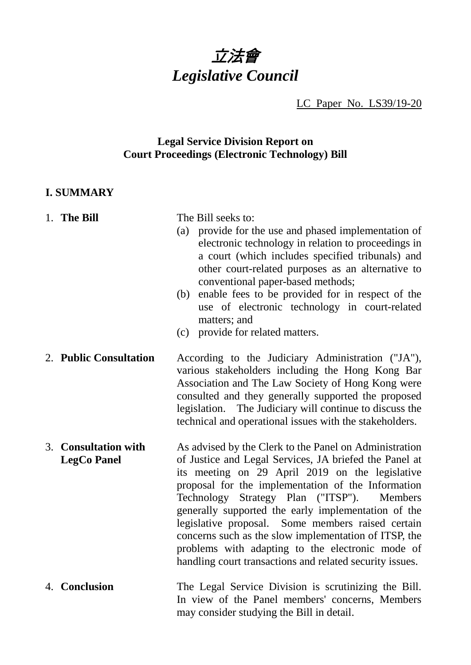

LC Paper No. LS39/19-20

# **Legal Service Division Report on Court Proceedings (Electronic Technology) Bill**

## **I. SUMMARY**

| 1. The Bill                                | The Bill seeks to:<br>provide for the use and phased implementation of<br>(a)<br>electronic technology in relation to proceedings in<br>a court (which includes specified tribunals) and<br>other court-related purposes as an alternative to<br>conventional paper-based methods;<br>enable fees to be provided for in respect of the<br>(b)<br>use of electronic technology in court-related<br>matters; and<br>(c) provide for related matters.                                                                                                                     |
|--------------------------------------------|------------------------------------------------------------------------------------------------------------------------------------------------------------------------------------------------------------------------------------------------------------------------------------------------------------------------------------------------------------------------------------------------------------------------------------------------------------------------------------------------------------------------------------------------------------------------|
| 2. Public Consultation                     | According to the Judiciary Administration ("JA"),<br>various stakeholders including the Hong Kong Bar<br>Association and The Law Society of Hong Kong were<br>consulted and they generally supported the proposed<br>The Judiciary will continue to discuss the<br>legislation.<br>technical and operational issues with the stakeholders.                                                                                                                                                                                                                             |
| 3. Consultation with<br><b>LegCo Panel</b> | As advised by the Clerk to the Panel on Administration<br>of Justice and Legal Services, JA briefed the Panel at<br>its meeting on 29 April 2019 on the legislative<br>proposal for the implementation of the Information<br>Technology Strategy Plan ("ITSP").<br><b>Members</b><br>generally supported the early implementation of the<br>legislative proposal. Some members raised certain<br>concerns such as the slow implementation of ITSP, the<br>problems with adapting to the electronic mode of<br>handling court transactions and related security issues. |
| 4. Conclusion                              | The Legal Service Division is scrutinizing the Bill.<br>In view of the Panel members' concerns, Members                                                                                                                                                                                                                                                                                                                                                                                                                                                                |

may consider studying the Bill in detail.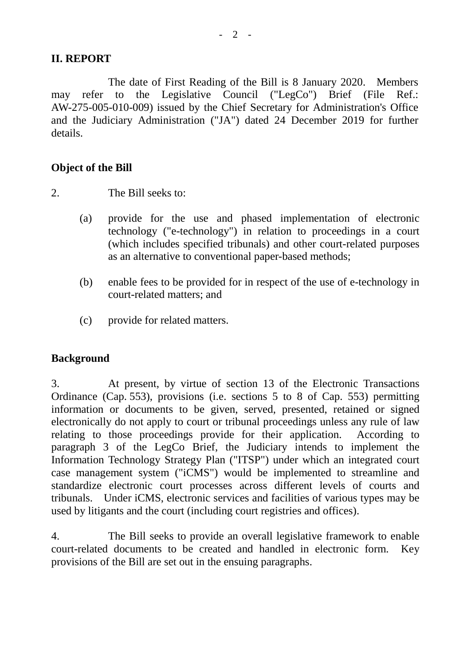The date of First Reading of the Bill is 8 January 2020. Members may refer to the Legislative Council ("LegCo") Brief (File Ref.: AW-275-005-010-009) issued by the Chief Secretary for Administration's Office and the Judiciary Administration ("JA") dated 24 December 2019 for further details.

## **Object of the Bill**

- 2. The Bill seeks to:
	- (a) provide for the use and phased implementation of electronic technology ("e-technology") in relation to proceedings in a court (which includes specified tribunals) and other court-related purposes as an alternative to conventional paper-based methods;
	- (b) enable fees to be provided for in respect of the use of e-technology in court-related matters; and
	- (c) provide for related matters.

## **Background**

3. At present, by virtue of section 13 of the Electronic Transactions Ordinance (Cap. 553), provisions (i.e. sections 5 to 8 of Cap. 553) permitting information or documents to be given, served, presented, retained or signed electronically do not apply to court or tribunal proceedings unless any rule of law relating to those proceedings provide for their application. According to paragraph 3 of the LegCo Brief, the Judiciary intends to implement the Information Technology Strategy Plan ("ITSP") under which an integrated court case management system ("iCMS") would be implemented to streamline and standardize electronic court processes across different levels of courts and tribunals. Under iCMS, electronic services and facilities of various types may be used by litigants and the court (including court registries and offices).

4. The Bill seeks to provide an overall legislative framework to enable court-related documents to be created and handled in electronic form. Key provisions of the Bill are set out in the ensuing paragraphs.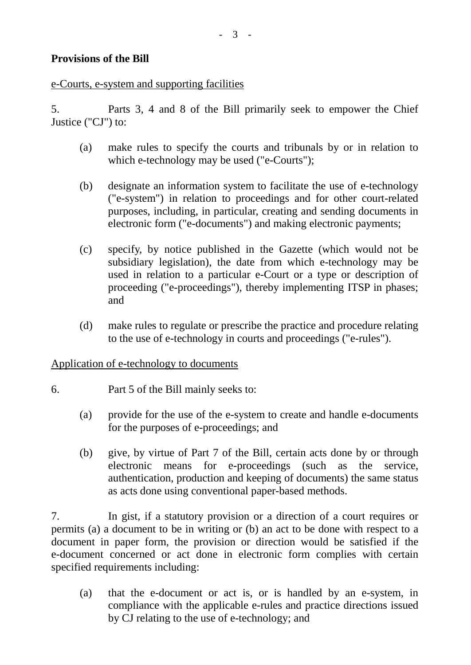### **Provisions of the Bill**

#### e-Courts, e-system and supporting facilities

5. Parts 3, 4 and 8 of the Bill primarily seek to empower the Chief Justice ("CJ") to:

- (a) make rules to specify the courts and tribunals by or in relation to which e-technology may be used ("e-Courts");
- (b) designate an information system to facilitate the use of e-technology ("e-system") in relation to proceedings and for other court-related purposes, including, in particular, creating and sending documents in electronic form ("e-documents") and making electronic payments;
- (c) specify, by notice published in the Gazette (which would not be subsidiary legislation), the date from which e-technology may be used in relation to a particular e-Court or a type or description of proceeding ("e-proceedings"), thereby implementing ITSP in phases; and
- (d) make rules to regulate or prescribe the practice and procedure relating to the use of e-technology in courts and proceedings ("e-rules").

#### Application of e-technology to documents

- 6. Part 5 of the Bill mainly seeks to:
	- (a) provide for the use of the e-system to create and handle e-documents for the purposes of e-proceedings; and
	- (b) give, by virtue of Part 7 of the Bill, certain acts done by or through electronic means for e-proceedings (such as the service, authentication, production and keeping of documents) the same status as acts done using conventional paper-based methods.

7. In gist, if a statutory provision or a direction of a court requires or permits (a) a document to be in writing or (b) an act to be done with respect to a document in paper form, the provision or direction would be satisfied if the e-document concerned or act done in electronic form complies with certain specified requirements including:

(a) that the e-document or act is, or is handled by an e-system, in compliance with the applicable e-rules and practice directions issued by CJ relating to the use of e-technology; and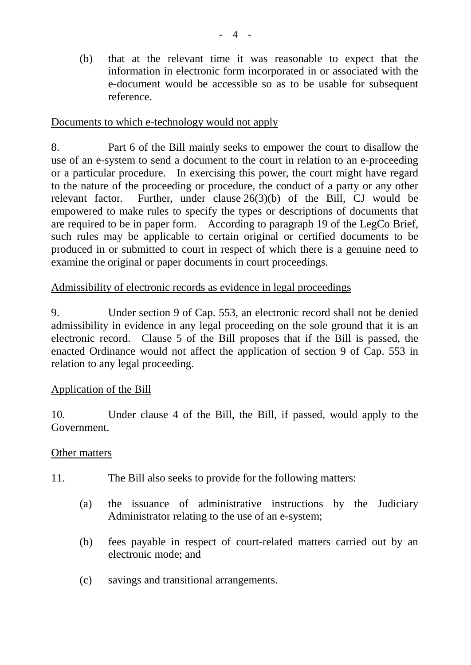(b) that at the relevant time it was reasonable to expect that the information in electronic form incorporated in or associated with the e-document would be accessible so as to be usable for subsequent reference.

## Documents to which e-technology would not apply

8. Part 6 of the Bill mainly seeks to empower the court to disallow the use of an e-system to send a document to the court in relation to an e-proceeding or a particular procedure. In exercising this power, the court might have regard to the nature of the proceeding or procedure, the conduct of a party or any other relevant factor. Further, under clause 26(3)(b) of the Bill, CJ would be empowered to make rules to specify the types or descriptions of documents that are required to be in paper form. According to paragraph 19 of the LegCo Brief, such rules may be applicable to certain original or certified documents to be produced in or submitted to court in respect of which there is a genuine need to examine the original or paper documents in court proceedings.

## Admissibility of electronic records as evidence in legal proceedings

9. Under section 9 of Cap. 553, an electronic record shall not be denied admissibility in evidence in any legal proceeding on the sole ground that it is an electronic record. Clause 5 of the Bill proposes that if the Bill is passed, the enacted Ordinance would not affect the application of section 9 of Cap. 553 in relation to any legal proceeding.

## Application of the Bill

10. Under clause 4 of the Bill, the Bill, if passed, would apply to the Government.

#### Other matters

- 11. The Bill also seeks to provide for the following matters:
	- (a) the issuance of administrative instructions by the Judiciary Administrator relating to the use of an e-system;
	- (b) fees payable in respect of court-related matters carried out by an electronic mode; and
	- (c) savings and transitional arrangements.